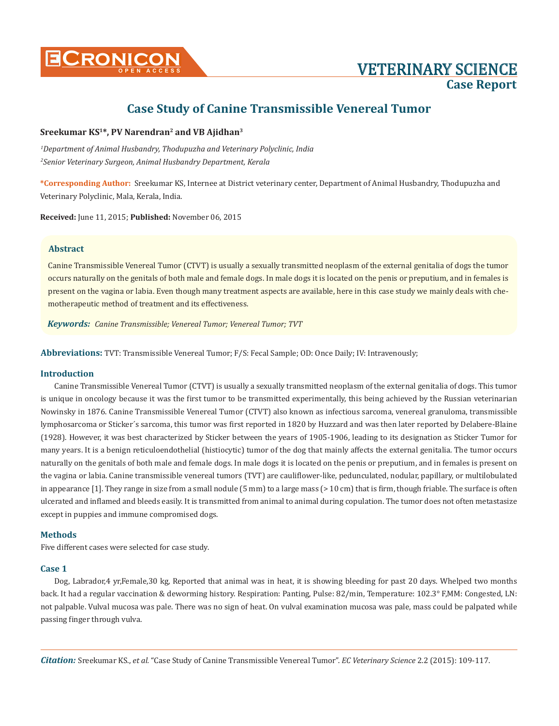

# **Case Study of Canine Transmissible Venereal Tumor**

## **Sreekumar KS1\*, PV Narendran2 and VB Ajidhan3**

<sup>1</sup>Department of Animal Husbandry, Thodupuzha and Veterinary Polyclinic, India *2 Senior Veterinary Surgeon, Animal Husbandry Department, Kerala*

**\*Corresponding Author:** Sreekumar KS, Internee at District veterinary center, Department of Animal Husbandry, Thodupuzha and Veterinary Polyclinic, Mala, Kerala, India.

**Received:** June 11, 2015; **Published:** November 06, 2015

#### **Abstract**

Canine Transmissible Venereal Tumor (CTVT) is usually a sexually transmitted neoplasm of the external genitalia of dogs the tumor occurs naturally on the genitals of both male and female dogs. In male dogs it is located on the penis or preputium, and in females is present on the vagina or labia. Even though many treatment aspects are available, here in this case study we mainly deals with chemotherapeutic method of treatment and its effectiveness.

*Keywords: Canine Transmissible; Venereal Tumor; Venereal Tumor; TVT*

**Abbreviations:** TVT: Transmissible Venereal Tumor; F/S: Fecal Sample; OD: Once Daily; IV: Intravenously;

### **Introduction**

Canine Transmissible Venereal Tumor (CTVT) is usually a sexually transmitted neoplasm of the external genitalia of dogs. This tumor is unique in oncology because it was the first tumor to be transmitted experimentally, this being achieved by the Russian veterinarian Nowinsky in 1876. Canine Transmissible Venereal Tumor (CTVT) also known as infectious sarcoma, venereal granuloma, transmissible lymphosarcoma or Sticker´s sarcoma, this tumor was first reported in 1820 by Huzzard and was then later reported by Delabere-Blaine (1928). However, it was best characterized by Sticker between the years of 1905-1906, leading to its designation as Sticker Tumor for many years. It is a benign reticuloendothelial (histiocytic) tumor of the dog that mainly affects the external genitalia. The tumor occurs naturally on the genitals of both male and female dogs. In male dogs it is located on the penis or preputium, and in females is present on the vagina or labia. Canine transmissible venereal tumors (TVT) are cauliflower-like, pedunculated, nodular, papillary, or multilobulated in appearance [1]. They range in size from a small nodule (5 mm) to a large mass (> 10 cm) that is firm, though friable. The surface is often ulcerated and inflamed and bleeds easily. It is transmitted from animal to animal during copulation. The tumor does not often metastasize except in puppies and immune compromised dogs.

#### **Methods**

Five different cases were selected for case study.

#### **Case 1**

Dog, Labrador,4 yr,Female,30 kg, Reported that animal was in heat, it is showing bleeding for past 20 days. Whelped two months back. It had a regular vaccination & deworming history. Respiration: Panting, Pulse: 82/min, Temperature: 102.3° F,MM: Congested, LN: not palpable. Vulval mucosa was pale. There was no sign of heat. On vulval examination mucosa was pale, mass could be palpated while passing finger through vulva.

*Citation:* Sreekumar KS., *et al.* "Case Study of Canine Transmissible Venereal Tumor". *EC Veterinary Science* 2.2 (2015): 109-117.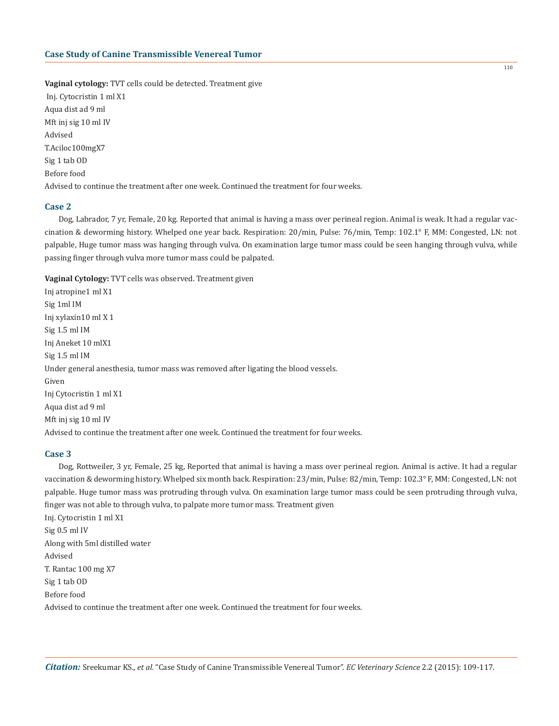**Vaginal cytology:** TVT cells could be detected. Treatment give

 Inj. Cytocristin 1 ml X1 Aqua dist ad 9 ml Mft inj sig 10 ml IV Advised T.Aciloc100mgX7 Sig 1 tab OD Before food Advised to continue the treatment after one week. Continued the treatment for four weeks.

## **Case 2**

Dog, Labrador, 7 yr, Female, 20 kg. Reported that animal is having a mass over perineal region. Animal is weak. It had a regular vaccination & deworming history. Whelped one year back. Respiration: 20/min, Pulse: 76/min, Temp: 102.1° F, MM: Congested, LN: not palpable, Huge tumor mass was hanging through vulva. On examination large tumor mass could be seen hanging through vulva, while passing finger through vulva more tumor mass could be palpated.

**Vaginal Cytology:** TVT cells was observed. Treatment given

Inj atropine1 ml X1 Sig 1ml IM Inj xylaxin10 ml X 1 Sig 1.5 ml IM Inj Aneket 10 mlX1 Sig 1.5 ml IM Under general anesthesia, tumor mass was removed after ligating the blood vessels. Given Inj Cytocristin 1 ml X1 Aqua dist ad 9 ml Mft inj sig 10 ml IV Advised to continue the treatment after one week. Continued the treatment for four weeks.

## **Case 3**

Dog, Rottweiler, 3 yr, Female, 25 kg, Reported that animal is having a mass over perineal region. Animal is active. It had a regular vaccination & deworming history. Whelped six month back. Respiration: 23/min, Pulse: 82/min, Temp: 102.3° F, MM: Congested, LN: not palpable. Huge tumor mass was protruding through vulva. On examination large tumor mass could be seen protruding through vulva, finger was not able to through vulva, to palpate more tumor mass. Treatment given Inj. Cytocristin 1 ml X1 Sig 0.5 ml IV

Along with 5ml distilled water Advised T. Rantac 100 mg X7 Sig 1 tab OD Before food Advised to continue the treatment after one week. Continued the treatment for four weeks.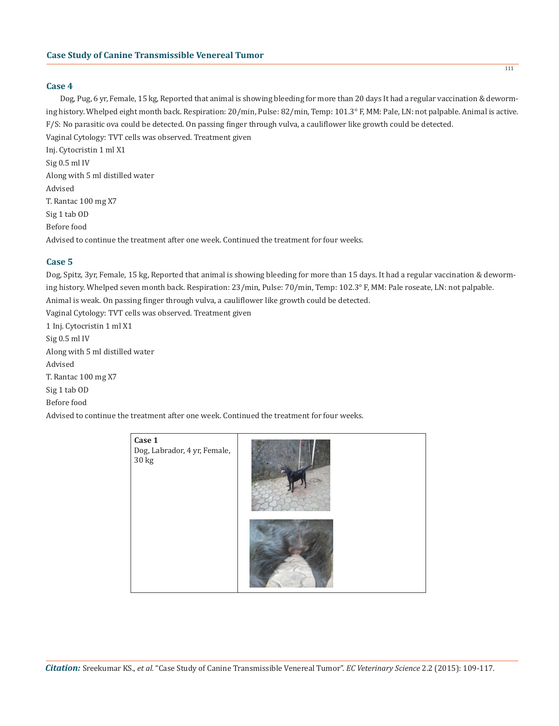#### **Case 4**

Dog, Pug, 6 yr, Female, 15 kg, Reported that animal is showing bleeding for more than 20 days It had a regular vaccination & deworming history. Whelped eight month back. Respiration: 20/min, Pulse: 82/min, Temp: 101.3° F, MM: Pale, LN: not palpable. Animal is active. F/S: No parasitic ova could be detected. On passing finger through vulva, a cauliflower like growth could be detected.

Vaginal Cytology: TVT cells was observed. Treatment given Inj. Cytocristin 1 ml X1 Sig 0.5 ml IV Along with 5 ml distilled water Advised T. Rantac 100 mg X7 Sig 1 tab OD Before food Advised to continue the treatment after one week. Continued the treatment for four weeks.

## **Case 5**

Dog, Spitz, 3yr, Female, 15 kg, Reported that animal is showing bleeding for more than 15 days. It had a regular vaccination & deworming history. Whelped seven month back. Respiration: 23/min, Pulse: 70/min, Temp: 102.3° F, MM: Pale roseate, LN: not palpable. Animal is weak. On passing finger through vulva, a cauliflower like growth could be detected. Vaginal Cytology: TVT cells was observed. Treatment given

1 Inj. Cytocristin 1 ml X1 Sig 0.5 ml IV Along with 5 ml distilled water Advised T. Rantac 100 mg X7 Sig 1 tab OD Before food Advised to continue the treatment after one week. Continued the treatment for four weeks.

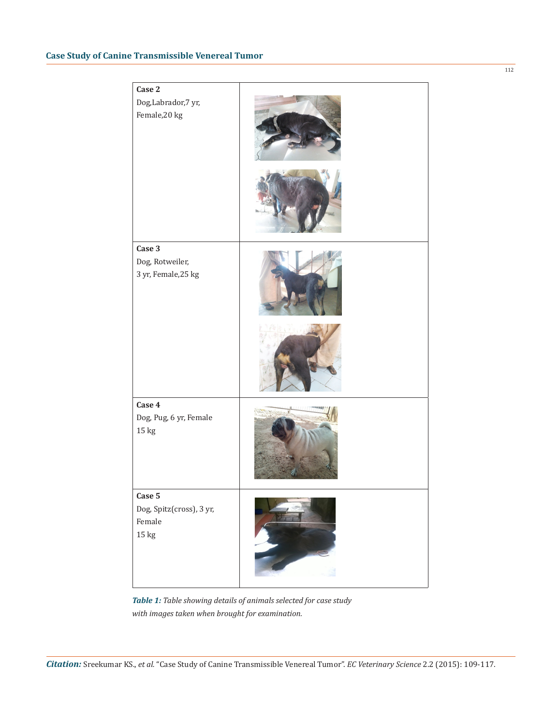

*Table 1: Table showing details of animals selected for case study with images taken when brought for examination.*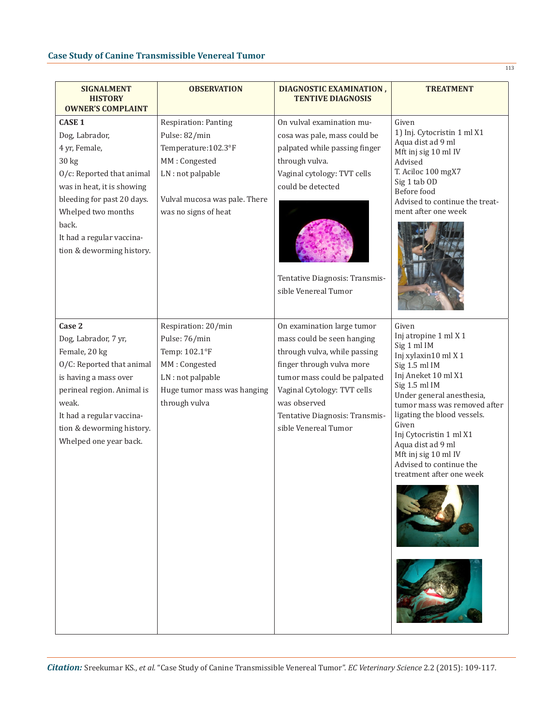| <b>SIGNALMENT</b><br><b>HISTORY</b><br><b>OWNER'S COMPLAINT</b>                                                                                                                                                                             | <b>OBSERVATION</b>                                                                                                                                                  | <b>DIAGNOSTIC EXAMINATION,</b><br><b>TENTIVE DIAGNOSIS</b>                                                                                                                                                                                                     | <b>TREATMENT</b>                                                                                                                                                                                                                                                                                                                                                  |
|---------------------------------------------------------------------------------------------------------------------------------------------------------------------------------------------------------------------------------------------|---------------------------------------------------------------------------------------------------------------------------------------------------------------------|----------------------------------------------------------------------------------------------------------------------------------------------------------------------------------------------------------------------------------------------------------------|-------------------------------------------------------------------------------------------------------------------------------------------------------------------------------------------------------------------------------------------------------------------------------------------------------------------------------------------------------------------|
| <b>CASE 1</b><br>Dog, Labrador,<br>4 yr, Female,<br>30 kg<br>O/c: Reported that animal<br>was in heat, it is showing<br>bleeding for past 20 days.<br>Whelped two months<br>back.<br>It had a regular vaccina-<br>tion & deworming history. | <b>Respiration: Panting</b><br>Pulse: 82/min<br>Temperature: 102.3°F<br>MM: Congested<br>LN : not palpable<br>Vulval mucosa was pale. There<br>was no signs of heat | On vulval examination mu-<br>cosa was pale, mass could be<br>palpated while passing finger<br>through vulva.<br>Vaginal cytology: TVT cells<br>could be detected<br>Tentative Diagnosis: Transmis-<br>sible Venereal Tumor                                     | Given<br>1) Inj. Cytocristin 1 ml X1<br>Aqua dist ad 9 ml<br>Mft inj sig 10 ml IV<br>Advised<br>T. Aciloc 100 mgX7<br>Sig 1 tab OD<br>Before food<br>Advised to continue the treat-<br>ment after one week                                                                                                                                                        |
| Case 2<br>Dog, Labrador, 7 yr,<br>Female, 20 kg<br>O/C: Reported that animal<br>is having a mass over<br>perineal region. Animal is<br>weak.<br>It had a regular vaccina-<br>tion & deworming history.<br>Whelped one year back.            | Respiration: 20/min<br>Pulse: 76/min<br>Temp: 102.1°F<br>MM: Congested<br>LN : not palpable<br>Huge tumor mass was hanging<br>through vulva                         | On examination large tumor<br>mass could be seen hanging<br>through vulva, while passing<br>finger through vulva more<br>tumor mass could be palpated<br>Vaginal Cytology: TVT cells<br>was observed<br>Tentative Diagnosis: Transmis-<br>sible Venereal Tumor | Given<br>Inj atropine 1 ml X 1<br>Sig 1 ml IM<br>Inj xylaxin10 ml X1<br>Sig 1.5 ml IM<br>Inj Aneket 10 ml X1<br>Sig 1.5 ml IM<br>Under general anesthesia,<br>tumor mass was removed after<br>ligating the blood vessels.<br>Given<br>Inj Cytocristin 1 ml X1<br>Aqua dist ad 9 ml<br>Mft inj sig 10 ml IV<br>Advised to continue the<br>treatment after one week |

113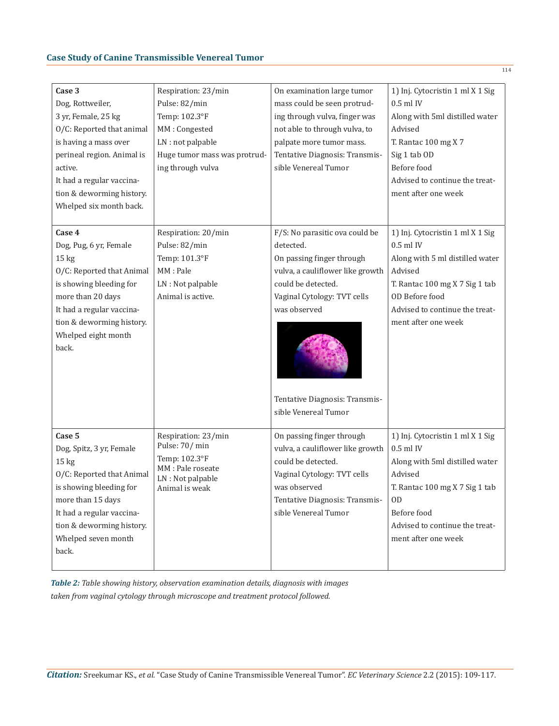## **Case Study of Canine Transmissible Venereal Tumor**

| Case 3<br>Dog, Rottweiler,<br>3 yr, Female, 25 kg<br>O/C: Reported that animal<br>is having a mass over<br>perineal region. Animal is<br>active.<br>It had a regular vaccina-<br>tion & deworming history.<br>Whelped six month back. | Respiration: 23/min<br>Pulse: 82/min<br>Temp: 102.3°F<br>MM: Congested<br>LN : not palpable<br>Huge tumor mass was protrud-<br>ing through vulva | On examination large tumor<br>mass could be seen protrud-<br>ing through vulva, finger was<br>not able to through vulva, to<br>palpate more tumor mass.<br>Tentative Diagnosis: Transmis-<br>sible Venereal Tumor                           | 1) Inj. Cytocristin 1 ml X 1 Sig<br>$0.5$ ml IV<br>Along with 5ml distilled water<br>Advised<br>T. Rantac 100 mg X 7<br>Sig 1 tab OD<br>Before food<br>Advised to continue the treat-<br>ment after one week |
|---------------------------------------------------------------------------------------------------------------------------------------------------------------------------------------------------------------------------------------|--------------------------------------------------------------------------------------------------------------------------------------------------|---------------------------------------------------------------------------------------------------------------------------------------------------------------------------------------------------------------------------------------------|--------------------------------------------------------------------------------------------------------------------------------------------------------------------------------------------------------------|
| Case 4<br>Dog, Pug, 6 yr, Female<br>15 <sub>kg</sub><br>O/C: Reported that Animal<br>is showing bleeding for<br>more than 20 days<br>It had a regular vaccina-<br>tion & deworming history.<br>Whelped eight month<br>back.           | Respiration: 20/min<br>Pulse: 82/min<br>Temp: 101.3°F<br>MM: Pale<br>LN : Not palpable<br>Animal is active.                                      | F/S: No parasitic ova could be<br>detected.<br>On passing finger through<br>vulva, a cauliflower like growth<br>could be detected.<br>Vaginal Cytology: TVT cells<br>was observed<br>Tentative Diagnosis: Transmis-<br>sible Venereal Tumor | 1) Inj. Cytocristin 1 ml X 1 Sig<br>0.5 ml IV<br>Along with 5 ml distilled water<br>Advised<br>T. Rantac 100 mg X 7 Sig 1 tab<br>OD Before food<br>Advised to continue the treat-<br>ment after one week     |
| Case 5<br>Dog, Spitz, 3 yr, Female<br>15 <sub>kg</sub><br>O/C: Reported that Animal<br>is showing bleeding for<br>more than 15 days<br>It had a regular vaccina-<br>tion & deworming history.<br>Whelped seven month<br>back.         | Respiration: 23/min<br>Pulse: 70/ min<br>Temp: 102.3°F<br>MM : Pale roseate<br>LN : Not palpable<br>Animal is weak                               | On passing finger through<br>vulva, a cauliflower like growth<br>could be detected.<br>Vaginal Cytology: TVT cells<br>was observed<br>Tentative Diagnosis: Transmis-<br>sible Venereal Tumor                                                | 1) Inj. Cytocristin 1 ml X 1 Sig<br>$0.5$ ml IV<br>Along with 5ml distilled water<br>Advised<br>T. Rantac 100 mg X 7 Sig 1 tab<br>OD<br>Before food<br>Advised to continue the treat-<br>ment after one week |

*Table 2: Table showing history, observation examination details, diagnosis with images taken from vaginal cytology through microscope and treatment protocol followed.*

114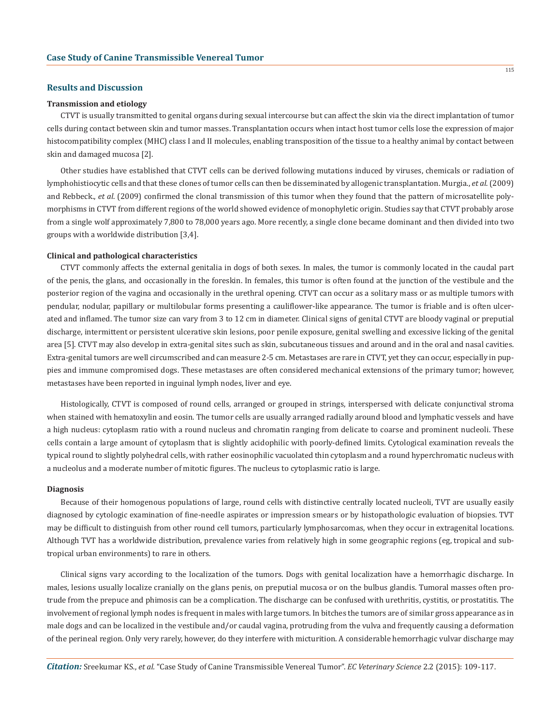#### **Results and Discussion**

#### **Transmission and etiology**

CTVT is usually transmitted to genital organs during sexual intercourse but can affect the skin via the direct implantation of tumor cells during contact between skin and tumor masses. Transplantation occurs when intact host tumor cells lose the expression of major histocompatibility complex (MHC) class I and II molecules, enabling transposition of the tissue to a healthy animal by contact between skin and damaged mucosa [2].

Other studies have established that CTVT cells can be derived following mutations induced by viruses, chemicals or radiation of lymphohistiocytic cells and that these clones of tumor cells can then be disseminated by allogenic transplantation. Murgia., *et al*. (2009) and Rebbeck., *et al*. (2009) confirmed the clonal transmission of this tumor when they found that the pattern of microsatellite polymorphisms in CTVT from different regions of the world showed evidence of monophyletic origin. Studies say that CTVT probably arose from a single wolf approximately 7,800 to 78,000 years ago. More recently, a single clone became dominant and then divided into two groups with a worldwide distribution [3,4].

#### **Clinical and pathological characteristics**

CTVT commonly affects the external genitalia in dogs of both sexes. In males, the tumor is commonly located in the caudal part of the penis, the glans, and occasionally in the foreskin. In females, this tumor is often found at the junction of the vestibule and the posterior region of the vagina and occasionally in the urethral opening. CTVT can occur as a solitary mass or as multiple tumors with pendular, nodular, papillary or multilobular forms presenting a cauliflower-like appearance. The tumor is friable and is often ulcerated and inflamed. The tumor size can vary from 3 to 12 cm in diameter. Clinical signs of genital CTVT are bloody vaginal or preputial discharge, intermittent or persistent ulcerative skin lesions, poor penile exposure, genital swelling and excessive licking of the genital area [5]. CTVT may also develop in extra-genital sites such as skin, subcutaneous tissues and around and in the oral and nasal cavities. Extra-genital tumors are well circumscribed and can measure 2-5 cm. Metastases are rare in CTVT, yet they can occur, especially in puppies and immune compromised dogs. These metastases are often considered mechanical extensions of the primary tumor; however, metastases have been reported in inguinal lymph nodes, liver and eye.

Histologically, CTVT is composed of round cells, arranged or grouped in strings, interspersed with delicate conjunctival stroma when stained with hematoxylin and eosin. The tumor cells are usually arranged radially around blood and lymphatic vessels and have a high nucleus: cytoplasm ratio with a round nucleus and chromatin ranging from delicate to coarse and prominent nucleoli. These cells contain a large amount of cytoplasm that is slightly acidophilic with poorly-defined limits. Cytological examination reveals the typical round to slightly polyhedral cells, with rather eosinophilic vacuolated thin cytoplasm and a round hyperchromatic nucleus with a nucleolus and a moderate number of mitotic figures. The nucleus to cytoplasmic ratio is large.

#### **Diagnosis**

Because of their homogenous populations of large, round cells with distinctive centrally located nucleoli, TVT are usually easily diagnosed by cytologic examination of fine-needle aspirates or impression smears or by histopathologic evaluation of biopsies. TVT may be difficult to distinguish from other round cell tumors, particularly lymphosarcomas, when they occur in extragenital locations. Although TVT has a worldwide distribution, prevalence varies from relatively high in some geographic regions (eg, tropical and subtropical urban environments) to rare in others.

Clinical signs vary according to the localization of the tumors. Dogs with genital localization have a hemorrhagic discharge. In males, lesions usually localize cranially on the glans penis, on preputial mucosa or on the bulbus glandis. Tumoral masses often protrude from the prepuce and phimosis can be a complication. The discharge can be confused with urethritis, cystitis, or prostatitis. The involvement of regional lymph nodes is frequent in males with large tumors. In bitches the tumors are of similar gross appearance as in male dogs and can be localized in the vestibule and/or caudal vagina, protruding from the vulva and frequently causing a deformation of the perineal region. Only very rarely, however, do they interfere with micturition. A considerable hemorrhagic vulvar discharge may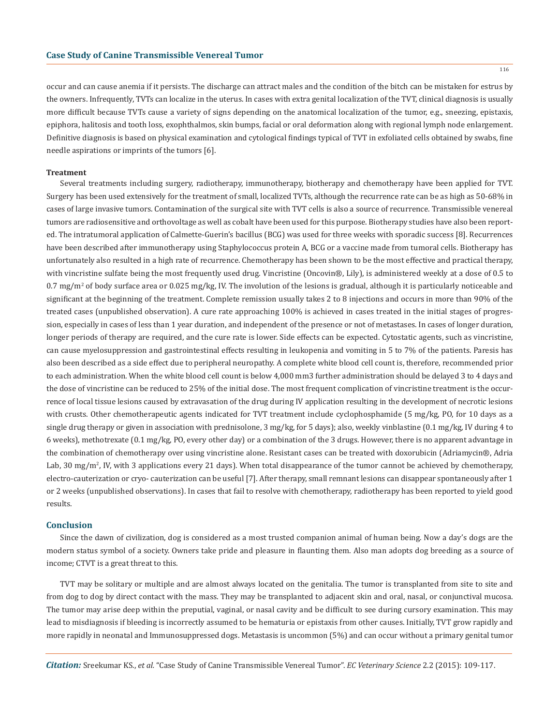116

occur and can cause anemia if it persists. The discharge can attract males and the condition of the bitch can be mistaken for estrus by the owners. Infrequently, TVTs can localize in the uterus. In cases with extra genital localization of the TVT, clinical diagnosis is usually more difficult because TVTs cause a variety of signs depending on the anatomical localization of the tumor, e.g., sneezing, epistaxis, epiphora, halitosis and tooth loss, exophthalmos, skin bumps, facial or oral deformation along with regional lymph node enlargement. Definitive diagnosis is based on physical examination and cytological findings typical of TVT in exfoliated cells obtained by swabs, fine needle aspirations or imprints of the tumors [6].

#### **Treatment**

Several treatments including surgery, radiotherapy, immunotherapy, biotherapy and chemotherapy have been applied for TVT. Surgery has been used extensively for the treatment of small, localized TVTs, although the recurrence rate can be as high as 50-68% in cases of large invasive tumors. Contamination of the surgical site with TVT cells is also a source of recurrence. Transmissible venereal tumors are radiosensitive and orthovoltage as well as cobalt have been used for this purpose. Biotherapy studies have also been reported. The intratumoral application of Calmette-Guerin's bacillus (BCG) was used for three weeks with sporadic success [8]. Recurrences have been described after immunotherapy using Staphylococcus protein A, BCG or a vaccine made from tumoral cells. Biotherapy has unfortunately also resulted in a high rate of recurrence. Chemotherapy has been shown to be the most effective and practical therapy, with vincristine sulfate being the most frequently used drug. Vincristine (Oncovin®, Lily), is administered weekly at a dose of 0.5 to  $0.7 \text{ mg/m}^2$  of body surface area or  $0.025 \text{ mg/kg}$ , IV. The involution of the lesions is gradual, although it is particularly noticeable and significant at the beginning of the treatment. Complete remission usually takes 2 to 8 injections and occurs in more than 90% of the treated cases (unpublished observation). A cure rate approaching 100% is achieved in cases treated in the initial stages of progression, especially in cases of less than 1 year duration, and independent of the presence or not of metastases. In cases of longer duration, longer periods of therapy are required, and the cure rate is lower. Side effects can be expected. Cytostatic agents, such as vincristine, can cause myelosuppression and gastrointestinal effects resulting in leukopenia and vomiting in 5 to 7% of the patients. Paresis has also been described as a side effect due to peripheral neuropathy. A complete white blood cell count is, therefore, recommended prior to each administration. When the white blood cell count is below 4,000 mm3 further administration should be delayed 3 to 4 days and the dose of vincristine can be reduced to 25% of the initial dose. The most frequent complication of vincristine treatment is the occurrence of local tissue lesions caused by extravasation of the drug during IV application resulting in the development of necrotic lesions with crusts. Other chemotherapeutic agents indicated for TVT treatment include cyclophosphamide (5 mg/kg, PO, for 10 days as a single drug therapy or given in association with prednisolone, 3 mg/kg, for 5 days); also, weekly vinblastine (0.1 mg/kg, IV during 4 to 6 weeks), methotrexate (0.1 mg/kg, PO, every other day) or a combination of the 3 drugs. However, there is no apparent advantage in the combination of chemotherapy over using vincristine alone. Resistant cases can be treated with doxorubicin (Adriamycin®, Adria Lab, 30 mg/m<sup>2</sup>, IV, with 3 applications every 21 days). When total disappearance of the tumor cannot be achieved by chemotherapy, electro-cauterization or cryo- cauterization can be useful [7]. After therapy, small remnant lesions can disappear spontaneously after 1 or 2 weeks (unpublished observations). In cases that fail to resolve with chemotherapy, radiotherapy has been reported to yield good results.

## **Conclusion**

Since the dawn of civilization, dog is considered as a most trusted companion animal of human being. Now a day's dogs are the modern status symbol of a society. Owners take pride and pleasure in flaunting them. Also man adopts dog breeding as a source of income; CTVT is a great threat to this.

TVT may be solitary or multiple and are almost always located on the genitalia. The tumor is transplanted from site to site and from dog to dog by direct contact with the mass. They may be transplanted to adjacent skin and oral, nasal, or conjunctival mucosa. The tumor may arise deep within the preputial, vaginal, or nasal cavity and be difficult to see during cursory examination. This may lead to misdiagnosis if bleeding is incorrectly assumed to be hematuria or epistaxis from other causes. Initially, TVT grow rapidly and more rapidly in neonatal and Immunosuppressed dogs. Metastasis is uncommon (5%) and can occur without a primary genital tumor

*Citation:* Sreekumar KS., *et al.* "Case Study of Canine Transmissible Venereal Tumor". *EC Veterinary Science* 2.2 (2015): 109-117.